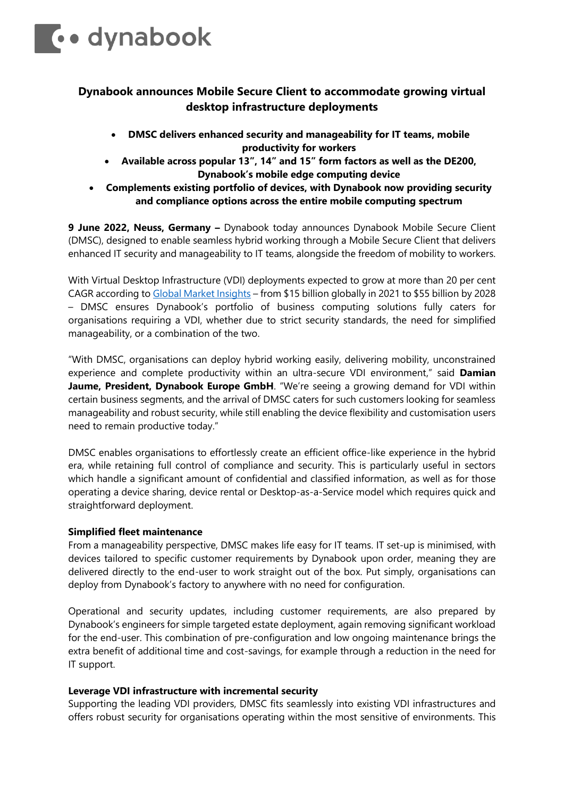

# **Dynabook announces Mobile Secure Client to accommodate growing virtual desktop infrastructure deployments**

- **DMSC delivers enhanced security and manageability for IT teams, mobile productivity for workers**
- **Available across popular 13", 14" and 15" form factors as well as the DE200, Dynabook's mobile edge computing device**
- **Complements existing portfolio of devices, with Dynabook now providing security and compliance options across the entire mobile computing spectrum**

**9 June 2022, Neuss, Germany –** Dynabook today announces Dynabook Mobile Secure Client (DMSC), designed to enable seamless hybrid working through a Mobile Secure Client that delivers enhanced IT security and manageability to IT teams, alongside the freedom of mobility to workers.

With Virtual Desktop Infrastructure (VDI) deployments expected to grow at more than 20 per cent CAGR according t[o Global Market Insights](https://www.gminsights.com/industry-analysis/virtual-desktop-infrastructure-vdi-market?utm_source=PrNewswire.com&utm_medium=referral&utm_campaign=Paid_PrNewswire) – from \$15 billion globally in 2021 to \$55 billion by 2028 – DMSC ensures Dynabook's portfolio of business computing solutions fully caters for organisations requiring a VDI, whether due to strict security standards, the need for simplified manageability, or a combination of the two.

"With DMSC, organisations can deploy hybrid working easily, delivering mobility, unconstrained experience and complete productivity within an ultra-secure VDI environment," said **Damian**  Jaume, President, Dynabook Europe GmbH. "We're seeing a growing demand for VDI within certain business segments, and the arrival of DMSC caters for such customers looking for seamless manageability and robust security, while still enabling the device flexibility and customisation users need to remain productive today."

DMSC enables organisations to effortlessly create an efficient office-like experience in the hybrid era, while retaining full control of compliance and security. This is particularly useful in sectors which handle a significant amount of confidential and classified information, as well as for those operating a device sharing, device rental or Desktop-as-a-Service model which requires quick and straightforward deployment.

# **Simplified fleet maintenance**

From a manageability perspective, DMSC makes life easy for IT teams. IT set-up is minimised, with devices tailored to specific customer requirements by Dynabook upon order, meaning they are delivered directly to the end-user to work straight out of the box. Put simply, organisations can deploy from Dynabook's factory to anywhere with no need for configuration.

Operational and security updates, including customer requirements, are also prepared by Dynabook's engineers for simple targeted estate deployment, again removing significant workload for the end-user. This combination of pre-configuration and low ongoing maintenance brings the extra benefit of additional time and cost-savings, for example through a reduction in the need for IT support.

# **Leverage VDI infrastructure with incremental security**

Supporting the leading VDI providers, DMSC fits seamlessly into existing VDI infrastructures and offers robust security for organisations operating within the most sensitive of environments. This